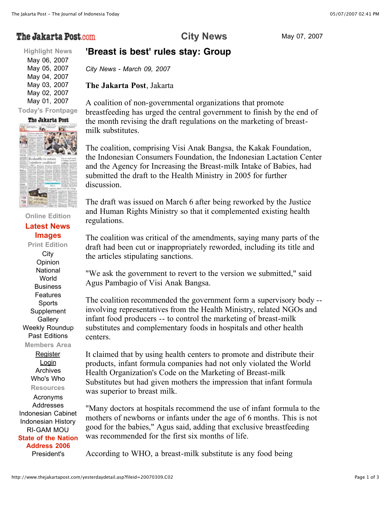# The Jakarta Post.com

## **City News** May 07, 2007

### **'Breast is best' rules stay: Group**

**Highlight News** May 06, 2007 May 05, 2007 May 04, 2007 May 03, 2007 May 02, 2007 May 01, 2007

#### **Today's Frontpage**



#### **Online Edition Latest News Images**

**Print Edition City Opinion National World** Business Features Sports **Supplement Gallery** Weekly Roundup Past Editions **Members Area**

**Register** Login Archives Who's Who **Resources** Acronyms Addresses Indonesian Cabinet Indonesian History RI-GAM MOU **State of the Nation Address 2006** President's

*City News - March 09, 2007*

The Jakarta Post, Jakarta

A coalition of non-governmental organizations that promote breastfeeding has urged the central government to finish by the end of the month revising the draft regulations on the marketing of breastmilk substitutes.

The coalition, comprising Visi Anak Bangsa, the Kakak Foundation, the Indonesian Consumers Foundation, the Indonesian Lactation Center and the Agency for Increasing the Breast-milk Intake of Babies, had submitted the draft to the Health Ministry in 2005 for further discussion.

The draft was issued on March 6 after being reworked by the Justice and Human Rights Ministry so that it complemented existing health regulations.

The coalition was critical of the amendments, saying many parts of the draft had been cut or inappropriately reworded, including its title and the articles stipulating sanctions.

"We ask the government to revert to the version we submitted," said Agus Pambagio of Visi Anak Bangsa.

The coalition recommended the government form a supervisory body - involving representatives from the Health Ministry, related NGOs and infant food producers -- to control the marketing of breast-milk substitutes and complementary foods in hospitals and other health centers.

It claimed that by using health centers to promote and distribute their products, infant formula companies had not only violated the World Health Organization's Code on the Marketing of Breast-milk Substitutes but had given mothers the impression that infant formula was superior to breast milk.

"Many doctors at hospitals recommend the use of infant formula to the mothers of newborns or infants under the age of 6 months. This is not good for the babies," Agus said, adding that exclusive breastfeeding was recommended for the first six months of life.

According to WHO, a breast-milk substitute is any food being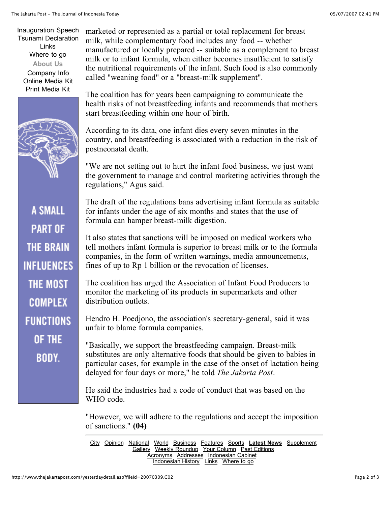Inauguration Speech Tsunami Declaration Links Where to go **About Us** Company Info Online Media Kit

Print Media Kit



**A SMALL PART OF THE BRAIN INFLUENCES** THE MOST COMPLEX **FUNCTIONS OF THE BODY.** 

marketed or represented as a partial or total replacement for breast milk, while complementary food includes any food -- whether manufactured or locally prepared -- suitable as a complement to breast milk or to infant formula, when either becomes insufficient to satisfy the nutritional requirements of the infant. Such food is also commonly called "weaning food" or a "breast-milk supplement".

The coalition has for years been campaigning to communicate the health risks of not breastfeeding infants and recommends that mothers start breastfeeding within one hour of birth.

According to its data, one infant dies every seven minutes in the country, and breastfeeding is associated with a reduction in the risk of postneonatal death.

"We are not setting out to hurt the infant food business, we just want the government to manage and control marketing activities through the regulations," Agus said.

The draft of the regulations bans advertising infant formula as suitable for infants under the age of six months and states that the use of formula can hamper breast-milk digestion.

It also states that sanctions will be imposed on medical workers who tell mothers infant formula is superior to breast milk or to the formula companies, in the form of written warnings, media announcements, fines of up to Rp 1 billion or the revocation of licenses.

The coalition has urged the Association of Infant Food Producers to monitor the marketing of its products in supermarkets and other distribution outlets.

Hendro H. Poedjono, the association's secretary-general, said it was unfair to blame formula companies.

"Basically, we support the breastfeeding campaign. Breast-milk substitutes are only alternative foods that should be given to babies in particular cases, for example in the case of the onset of lactation being delayed for four days or more," he told *The Jakarta Post*.

He said the industries had a code of conduct that was based on the WHO code.

"However, we will adhere to the regulations and accept the imposition of sanctions." (04)

City Opinion National World Business Features Sports **Latest News** Supplement **Gallery Weekly Roundup Your Column Past Editions** Acronyms Addresses Indonesian Cabinet Indonesian History Links Where to go